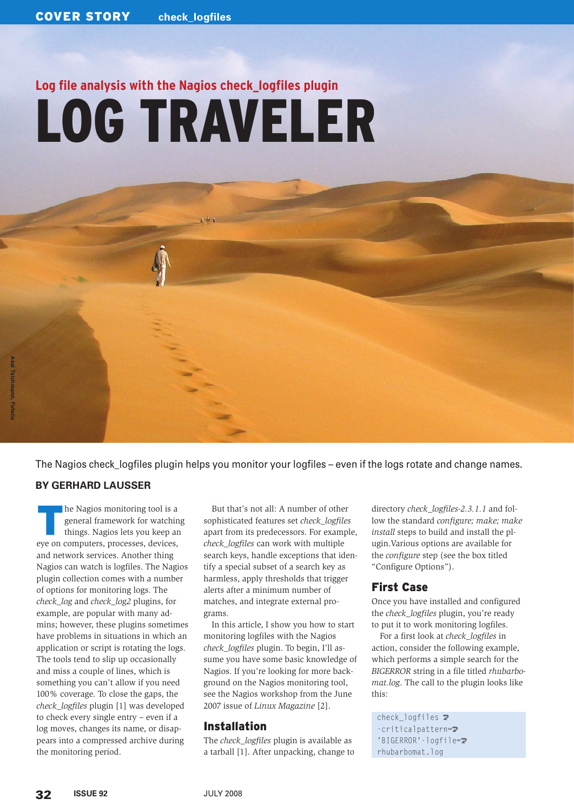# **Log file analysis with the Nagios check\_logfiles plugin** Log Traveler

The Nagios check\_logfiles plugin helps you monitor your logfiles – even if the logs rotate and change names.

## **By Gerhard LauSSer**

**The Nagios monitoring tool is a general framework for watching things. Nagios lets you keep an** general framework for watching eye on computers, processes, devices, and network services. Another thing Nagios can watch is logfiles. The Nagios plugin collection comes with a number of options for monitoring logs. The *check\_log* and *check\_log2* plugins, for example, are popular with many admins; however, these plugins sometimes have problems in situations in which an application or script is rotating the logs. The tools tend to slip up occasionally and miss a couple of lines, which is something you can't allow if you need 100% coverage. To close the gaps, the *check\_logfiles* plugin [1] was developed to check every single entry – even if a log moves, changes its name, or disappears into a compressed archive during the monitoring period.

But that's not all: A number of other sophisticated features set *check\_logfiles* apart from its predecessors. For example, *check\_logfiles* can work with multiple search keys, handle exceptions that identify a special subset of a search key as harmless, apply thresholds that trigger alerts after a minimum number of matches, and integrate external programs.

In this article, I show you how to start monitoring logfiles with the Nagios *check\_logfiles* plugin. To begin, I'll assume you have some basic knowledge of Nagios. If you're looking for more background on the Nagios monitoring tool, see the Nagios workshop from the June 2007 issue of *Linux Magazine* [2].

## Installation

The *check\_logfiles* plugin is available as a tarball [1]. After unpacking, change to directory *check\_logfiles‑2.3.1.1* and follow the standard *configure; make; make install* steps to build and install the plugin.Various options are available for the *configure* step (see the box titled "Configure Options").

## First Case

Once you have installed and configured the *check\_logfiles* plugin, you're ready to put it to work monitoring logfiles.

For a first look at *check\_logfiles* in action, consider the following example, which performs a simple search for the *BIGERROR* string in a file titled *rhubarbo‑ mat.log*. The call to the plugin looks like this:

 $check\_logfiles$   $\triangleright$ ‑criticalpattern=U 'BIGERROR'-logfile=2 rhubarbomat.log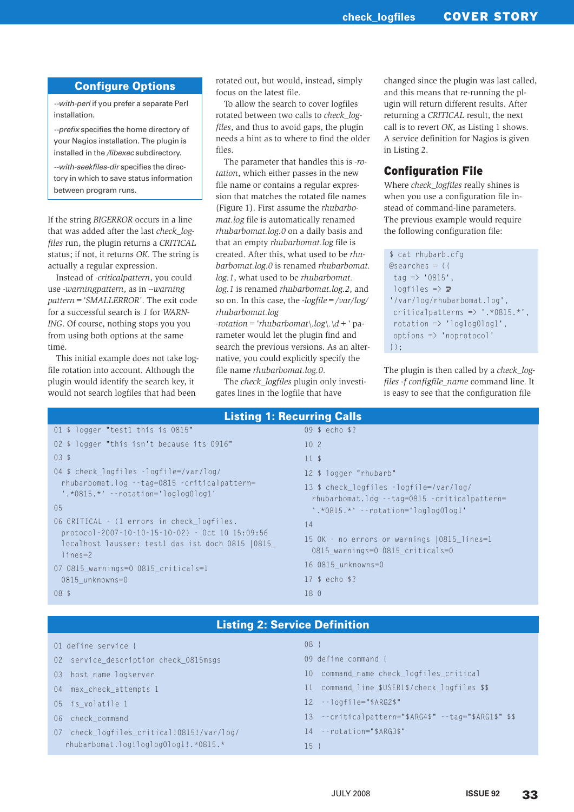#### Configure Options

*‑‑with‑perl* if you prefer a separate Perl installation.

*‑‑prefix* specifies the home directory of your Nagios installation. The plugin is installed in the */libexec* subdirectory.

*‑‑with‑seekfiles‑dir* specifies the directory in which to save status information between program runs.

If the string *BIGERROR* occurs in a line that was added after the last *check\_log‑ files* run, the plugin returns a *CRITICAL* status; if not, it returns *OK*. The string is actually a regular expression.

Instead of *‑criticalpattern*, you could use *‑warningpattern*, as in *‑‑warning pattern='SMALLERROR'*. The exit code for a successful search is *1* for *WARN‑ ING*. Of course, nothing stops you you from using both options at the same time.

This initial example does not take logfile rotation into account. Although the plugin would identify the search key, it would not search logfiles that had been

rotated out, but would, instead, simply focus on the latest file.

To allow the search to cover logfiles rotated between two calls to *check\_log‑ files*, and thus to avoid gaps, the plugin needs a hint as to where to find the older files.

The parameter that handles this is *‑ro‑ tation*, which either passes in the new file name or contains a regular expression that matches the rotated file names (Figure 1). First assume the *rhubarbo‑ mat.log* file is automatically renamed *rhubarbomat.log.0* on a daily basis and that an empty *rhubarbomat.log* file is created. After this, what used to be *rhu‑ barbomat.log.0* is renamed *rhubarbomat. log.1*, what used to be *rhubarbomat. log.1* is renamed *rhubarbomat.log.2*, and so on. In this case, the *‑logfile=/var/log/ rhubarbomat.log* 

*‑rotation='rhubarbomat\.log\.\d+'* parameter would let the plugin find and search the previous versions. As an alternative, you could explicitly specify the file name *rhubarbomat.log.0*.

The *check\_logfiles* plugin only investigates lines in the logfile that have

changed since the plugin was last called, and this means that re-running the plugin will return different results. After returning a *CRITICAL* result, the next call is to revert *OK*, as Listing 1 shows. A service definition for Nagios is given in Listing 2.

### Configuration File

Where *check\_logfiles* really shines is when you use a configuration file instead of command-line parameters. The previous example would require the following configuration file:

```
$ cat rhubarb.cfg
@searches = ({
 tag \ = \ '0815',
 logfiles \Rightarrow \rightarrow'/var/log/rhubarbomat.log',
 criticalpatterns \Rightarrow '.*0815.*',
 rotation => 'loglog0log1',
 options \Rightarrow 'noprotocol'
});
```
The plugin is then called by a *check\_log‑ files ‑f configfile\_name* command line. It is easy to see that the configuration file

| <b>Listing 1: Recurring Calls</b>                                                                                                                               |                                                                                                                                                     |  |  |  |  |
|-----------------------------------------------------------------------------------------------------------------------------------------------------------------|-----------------------------------------------------------------------------------------------------------------------------------------------------|--|--|--|--|
| 01 \$ logger "test1 this is 0815"                                                                                                                               | 09 \$ echo \$?                                                                                                                                      |  |  |  |  |
| 02 \$ logger "this isn't because its 0916"                                                                                                                      | 10 <sub>2</sub>                                                                                                                                     |  |  |  |  |
| $03$ \$                                                                                                                                                         | $11 \;$ \$                                                                                                                                          |  |  |  |  |
| 04 \$ check_logfiles -logfile=/var/log/                                                                                                                         | 12 \$ logger "rhubarb"                                                                                                                              |  |  |  |  |
| rhubarbomat.log --tag=0815 -criticalpattern=<br>$\cdot$ . $*0815.*$ --rotation='loglog0log1'<br>05                                                              | 13 \$ check_logfiles -logfile=/var/log/<br>rhubarbomat.log --tag=0815 -criticalpattern=<br>$\cdot$ . $*0815$ . $*$ $\cdot$ - rotation= loglog0log1' |  |  |  |  |
| 06 CRITICAL - (1 errors in check_logfiles.<br>$protocol - 2007 - 10 - 10 - 15 - 10 - 02$ - Oct 10 15:09:56<br>localhost lausser: test1 das ist doch 0815   0815 | 14<br>15 OK - no errors or warnings   0815_lines=1<br>0815_warnings=0 0815_criticals=0                                                              |  |  |  |  |
| $lines = 2$                                                                                                                                                     | 16 0815_unknowns=0                                                                                                                                  |  |  |  |  |
| 07 0815_warnings=0 0815_criticals=1<br>0815 unknowns=0                                                                                                          | 17 \$ echo \$?                                                                                                                                      |  |  |  |  |
| $08$ \$                                                                                                                                                         | 180                                                                                                                                                 |  |  |  |  |
|                                                                                                                                                                 |                                                                                                                                                     |  |  |  |  |
| <b>Listing 2: Service Definition</b>                                                                                                                            |                                                                                                                                                     |  |  |  |  |
| 01 define service {                                                                                                                                             | 08                                                                                                                                                  |  |  |  |  |

|  | <b>CONTRACTOR</b> |  |  |  | <b>Contract Contract Contract Contract Contract Contract Contract Contract Contract Contract Contract Contract Co</b> |  | $\mathcal{L}^{\text{max}}_{\text{max}}$ and $\mathcal{L}^{\text{max}}_{\text{max}}$ and $\mathcal{L}^{\text{max}}_{\text{max}}$ |  |  |  |  |
|--|-------------------|--|--|--|-----------------------------------------------------------------------------------------------------------------------|--|---------------------------------------------------------------------------------------------------------------------------------|--|--|--|--|
|  |                   |  |  |  |                                                                                                                       |  |                                                                                                                                 |  |  |  |  |

- 02 service description check 0815msgs
- 03 host name logserver
- 04 max\_check\_attempts 1
- 05 is volatile 1
- 06 check command
- 07 check\_logfiles\_critical!0815!/var/log/ rhubarbomat.log!loglog0log1!.\*0815.\*

### 09 define command { 10 command\_name check\_logfiles\_critical

15 }

- 11 command line \$USER1\$/check logfiles \$\$
- 12 ‑‑logfile="\$ARG2\$"
- 13 ‑‑criticalpattern="\$ARG4\$" ‑‑tag="\$ARG1\$" \$\$
- 14 ‑‑rotation="\$ARG3\$"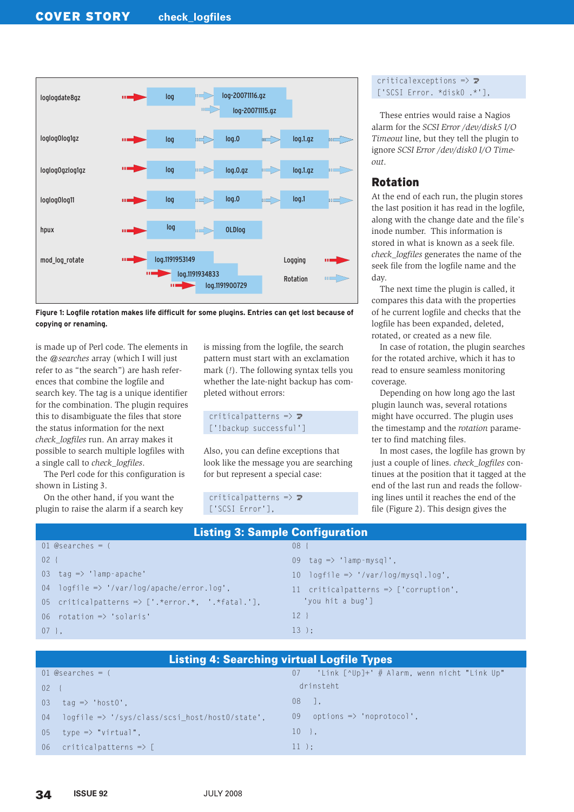

**Figure 1: Logfile rotation makes life difficult for some plugins. Entries can get lost because of copying or renaming.**

is made up of Perl code. The elements in the *@searches* array (which I will just refer to as "the search") are hash references that combine the logfile and search key. The tag is a unique identifier for the combination. The plugin requires this to disambiguate the files that store the status information for the next *check\_logfiles* run. An array makes it possible to search multiple logfiles with a single call to *check\_logfiles*.

The Perl code for this configuration is shown in Listing 3.

On the other hand, if you want the plugin to raise the alarm if a search key is missing from the logfile, the search pattern must start with an exclamation mark (*!*). The following syntax tells you whether the late-night backup has completed without errors:

criticalpatterns  $\Rightarrow$   $\rightarrow$ ['!backup successful']

Also, you can define exceptions that look like the message you are searching for but represent a special case:

```
criticalpatterns \Rightarrow \rightarrow['SCSI Error'],
```
#### criticalexceptions  $\Rightarrow$   $\rightarrow$ ['SCSI Error. \*disk0 .\*'],

These entries would raise a Nagios alarm for the *SCSI Error /dev/disk5 I/O Timeout* line, but they tell the plugin to ignore *SCSI Error /dev/disk0 I/O Time‑ out*.

## Rotation

At the end of each run, the plugin stores the last position it has read in the logfile, along with the change date and the file's inode number. This information is stored in what is known as a seek file. *check\_logfiles* generates the name of the seek file from the logfile name and the day.

The next time the plugin is called, it compares this data with the properties of he current logfile and checks that the logfile has been expanded, deleted, rotated, or created as a new file.

In case of rotation, the plugin searches for the rotated archive, which it has to read to ensure seamless monitoring coverage.

Depending on how long ago the last plugin launch was, several rotations might have occurred. The plugin uses the timestamp and the *rotation* parameter to find matching files.

In most cases, the logfile has grown by just a couple of lines. *check\_logfiles* continues at the position that it tagged at the end of the last run and reads the following lines until it reaches the end of the file (Figure 2). This design gives the

| <b>Listing 3: Sample Configuration</b>                         |                                                     |  |  |  |  |  |
|----------------------------------------------------------------|-----------------------------------------------------|--|--|--|--|--|
| 01 @searches = $($                                             | 08 <sup>1</sup>                                     |  |  |  |  |  |
| 02 <sup>2</sup>                                                | 09 $\text{tag} =$ $>$ 'lamp-mysql',                 |  |  |  |  |  |
| 03 $tag \Rightarrow$ 'lamp-apache'                             | 10 $\log f i \ge \frac{1}{2}$ '/var/log/mysql.log', |  |  |  |  |  |
| 04 $logfile$ => '/var/log/apache/error.log',                   | 11 critical patterns $\Rightarrow$ ['corruption',   |  |  |  |  |  |
| 05 criticalpatterns => $[\cdot, \cdot]$ *error.*, '.*fatal.'], | 'you hit a bug']                                    |  |  |  |  |  |
| 06 rotation $\Rightarrow$ 'solaris'                            | $12 \;$                                             |  |  |  |  |  |
| $07$ },                                                        | $13$ ):                                             |  |  |  |  |  |
|                                                                |                                                     |  |  |  |  |  |
| Lieting A: Coarching virtual Logfile Tynes                     |                                                     |  |  |  |  |  |

| <b>Listing 4: Searching virtual Logfile Types</b>   |                                                   |  |  |  |  |
|-----------------------------------------------------|---------------------------------------------------|--|--|--|--|
| $01$ @searches = $($                                | "Link [^Up]+' # Alarm, wenn nicht "Link Up"<br>07 |  |  |  |  |
| 0 <sup>2</sup>                                      | drinsteht                                         |  |  |  |  |
| $\text{tag} \Rightarrow$ 'host0'.<br>03             | $08$ $\vert$ .                                    |  |  |  |  |
| $04$ logfile => '/sys/class/scsi_host/host0/state', | 09 options $\Rightarrow$ 'noprotocol'.            |  |  |  |  |
| type $\Rightarrow$ "virtual".<br>05                 | $10$ }.                                           |  |  |  |  |
| criticalpatterns $\Rightarrow$ $\Gamma$<br>06       | $11$ ):                                           |  |  |  |  |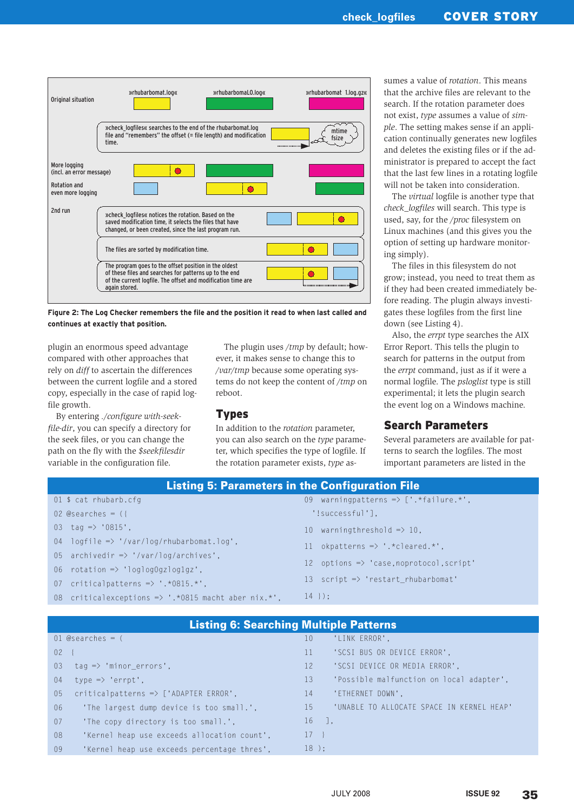

**Figure 2: The Log Checker remembers the file and the position it read to when last called and continues at exactly that position.**

plugin an enormous speed advantage compared with other approaches that rely on *diff* to ascertain the differences between the current logfile and a stored copy, especially in the case of rapid logfile growth.

By entering *./configure with‑seek‑ file‑dir*, you can specify a directory for the seek files, or you can change the path on the fly with the *\$seekfilesdir* variable in the configuration file.

The plugin uses */tmp* by default; however, it makes sense to change this to */var/tmp* because some operating systems do not keep the content of */tmp* on reboot.

#### **Types**

In addition to the *rotation* parameter, you can also search on the *type* parameter, which specifies the type of logfile. If the rotation parameter exists, *type* assumes a value of *rotation*. This means that the archive files are relevant to the search. If the rotation parameter does not exist, *type* assumes a value of *sim‑ ple*. The setting makes sense if an application continually generates new logfiles and deletes the existing files or if the administrator is prepared to accept the fact that the last few lines in a rotating logfile will not be taken into consideration.

The *virtual* logfile is another type that *check\_logfiles* will search. This type is used, say, for the */proc* filesystem on Linux machines (and this gives you the option of setting up hardware monitoring simply).

The files in this filesystem do not grow; instead, you need to treat them as if they had been created immediately before reading. The plugin always investigates these logfiles from the first line down (see Listing 4).

Also, the *errpt* type searches the AIX Error Report. This tells the plugin to search for patterns in the output from the *errpt* command, just as if it were a normal logfile. The *psloglist* type is still experimental; it lets the plugin search the event log on a Windows machine.

#### Search Parameters

Several parameters are available for patterns to search the logfiles. The most important parameters are listed in the

| <b>Listing 5: Parameters in the Configuration File</b>         |                                                       |  |  |  |  |  |
|----------------------------------------------------------------|-------------------------------------------------------|--|--|--|--|--|
| 01 \$ cat rhubarb.cfg                                          | 09 warningpatterns $\Rightarrow$ ['.*failure.*',      |  |  |  |  |  |
| $02$ @searches = $($                                           | '!successful'].                                       |  |  |  |  |  |
| 03 tag $\Rightarrow$ '0815'.                                   | 10 warningthreshold $\Rightarrow$ 10.                 |  |  |  |  |  |
| $04$ logfile => '/var/log/rhubarbomat.log',                    | 11 okpatterns $\Rightarrow$ '.*cleared.*'.            |  |  |  |  |  |
| 05 archivedir $\Rightarrow$ '/var/log/archives',               | $12$ options $\Rightarrow$ 'case, noprotocol, script' |  |  |  |  |  |
| $rotation$ => 'loglog0qzlog1qz',<br>06                         |                                                       |  |  |  |  |  |
| criticalpatterns $\Rightarrow$ '.*0815.*'.<br>07               | 13 script $\Rightarrow$ 'restart rhubarbomat'         |  |  |  |  |  |
| 08 criticalexceptions $\Rightarrow$ '.*0815 macht aber nix.*', | $14$ }):                                              |  |  |  |  |  |
|                                                                |                                                       |  |  |  |  |  |
| <b>Listing 6: Searching Multiple Patterns</b>                  |                                                       |  |  |  |  |  |
| $01$ @searches = $($                                           | 10<br>'LINK ERROR'.                                   |  |  |  |  |  |
| 02 <sub>2</sub>                                                | 'SCSI BUS OR DEVICE ERROR'.<br>11                     |  |  |  |  |  |

- 03 tag  $\Rightarrow$  'minor\_errors',
- $04$  type  $\Rightarrow$  'errpt'.
- 05 criticalpatterns => ['ADAPTER ERROR',
- 06 'The largest dump device is too small.',
- 07 The copy directory is too small.',
- 08 'Kernel heap use exceeds allocation count',
- 09 'Kernel heap use exceeds percentage thres',

14 'ETHERNET DOWN',

 $16 \quad 1$ 17 } 18 );

12 'SCSI DEVICE OR MEDIA ERROR',

13 'Possible malfunction on local adapter',

15 'UNABLE TO ALLOCATE SPACE IN KERNEL HEAP'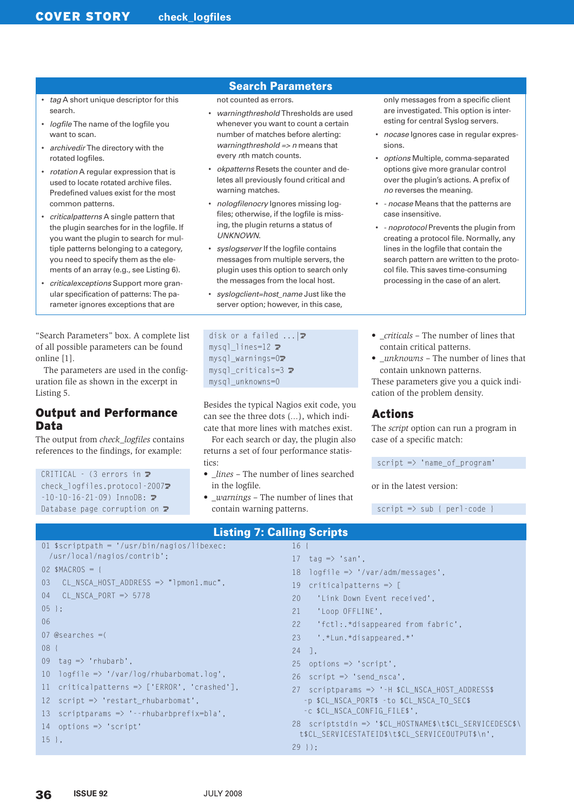- • *tag* A short unique descriptor for this search.
- logfile The name of the logfile you want to scan.
- archivedir The directory with the rotated logfiles.
- rotation A regular expression that is used to locate rotated archive files. Predefined values exist for the most common patterns.
- criticalpatterns A single pattern that the plugin searches for in the logfile. If you want the plugin to search for multiple patterns belonging to a category, you need to specify them as the elements of an array (e.g., see Listing 6).
- • *criticalexceptions* Support more granular specification of patterns: The parameter ignores exceptions that are

"Search Parameters" box. A complete list of all possible parameters can be found online [1].

The parameters are used in the configuration file as shown in the excerpt in Listing 5.

# Output and Performance Data

The output from *check\_logfiles* contains references to the findings, for example:

CRITICAL  $-$  (3 errors in  $\triangleright$ check\_logfiles.protocol-20072  $-10 - 10 - 16 - 21 - 09$ ) InnoDB:  $\triangleright$ Database page corruption on  $\mathbb Z$ 

#### Search Parameters

not counted as errors.

- warningthreshold Thresholds are used whenever you want to count a certain number of matches before alerting: *warningthreshold => n* means that every *n*th match counts.
- • *okpatterns* Resets the counter and deletes all previously found critical and warning matches.
- • *nologfilenocry* Ignores missing logfiles; otherwise, if the logfile is missing, the plugin returns a status of *UNKNOWN*.
- syslogserver If the logfile contains messages from multiple servers, the plugin uses this option to search only the messages from the local host.
- • *syslogclient=host\_name* Just like the server option; however, in this case,

```
disk or a failed \dots \trianglerightmysql lines=12 \trianglerightmysql_warnings=0U
mysql criticals=3 \trianglerightmysql_unknowns=0
```
Besides the typical Nagios exit code, you can see the three dots (*...*), which indicate that more lines with matches exist.

For each search or day, the plugin also returns a set of four performance statistics:

- *lines* The number of lines searched in the logfile.
- • *\_warnings* The number of lines that contain warning patterns.

Listing 7: Calling Scripts

only messages from a specific client are investigated. This option is interesting for central Syslog servers.

- • *nocase* Ignores case in regular expressions.
- • *options* Multiple, comma-separated options give more granular control over the plugin's actions. A prefix of *no* reverses the meaning.
- • *‑ nocase* Means that the patterns are case insensitive.
- • *‑ noprotocol* Prevents the plugin from creating a protocol file. Normally, any lines in the logfile that contain the search pattern are written to the protocol file. This saves time-consuming processing in the case of an alert.
- *criticals* The number of lines that contain critical patterns.
- • *\_unknowns* The number of lines that contain unknown patterns. These parameters give you a quick indi-

## Actions

The *script* option can run a program in case of a specific match:

 $\vert$  script  $\Rightarrow$  'name\_of\_program'

cation of the problem density.

or in the latest version:

script => sub { perl‑code }

```
01 $scriptpath = '/usr/bin/nagios/libexec:
 /usr/local/nagios/contrib';
02 $MACROS = {
03 CL_NSCA_HOST_ADDRESS => "lpmon1.muc",
04 CL_NSCA_PORT => 5778
05 };
06 
07 @searches =(
08 {
09 tag \Rightarrow 'rhubarb',
10 logfile \Rightarrow '/var/log/rhubarbomat.log',
11 criticalpatterns => ['ERROR', 'crashed'],
12 script => 'restart_rhubarbomat',
13 scriptparams \Rightarrow '--rhubarbprefix=bla',
14 options \Rightarrow 'script'
15 },
                                                              16 {
                                                              17 tag \Rightarrow 'san',
                                                              18 logfile \Rightarrow '/var/adm/messages',
                                                              19 criticalpatterns \Rightarrow [
                                                              20 'Link Down Event received',
                                                              21 'Loop OFFLINE',
                                                              22 'fctl:.*disappeared from fabric',
                                                              23 '.*Lun.*disappeared.*'
                                                              24 ],
                                                              25 options \Rightarrow 'script',
                                                              26 script \Rightarrow 'send nsca',
                                                              27 scriptparams => '-H $CL_NSCA_HOST_ADDRESS$
                                                                  ‑p $CL_NSCA_PORT$ ‑to $CL_NSCA_TO_SEC$
                                                                  ‑c $CL_NSCA_CONFIG_FILE$',
                                                              28 scriptstdin => '$CL_HOSTNAME$\t$CL_SERVICEDESC$\
                                                               t$CL_SERVICESTATEID$\t$CL_SERVICEOUTPUT$\n',
                                                              29 });
```